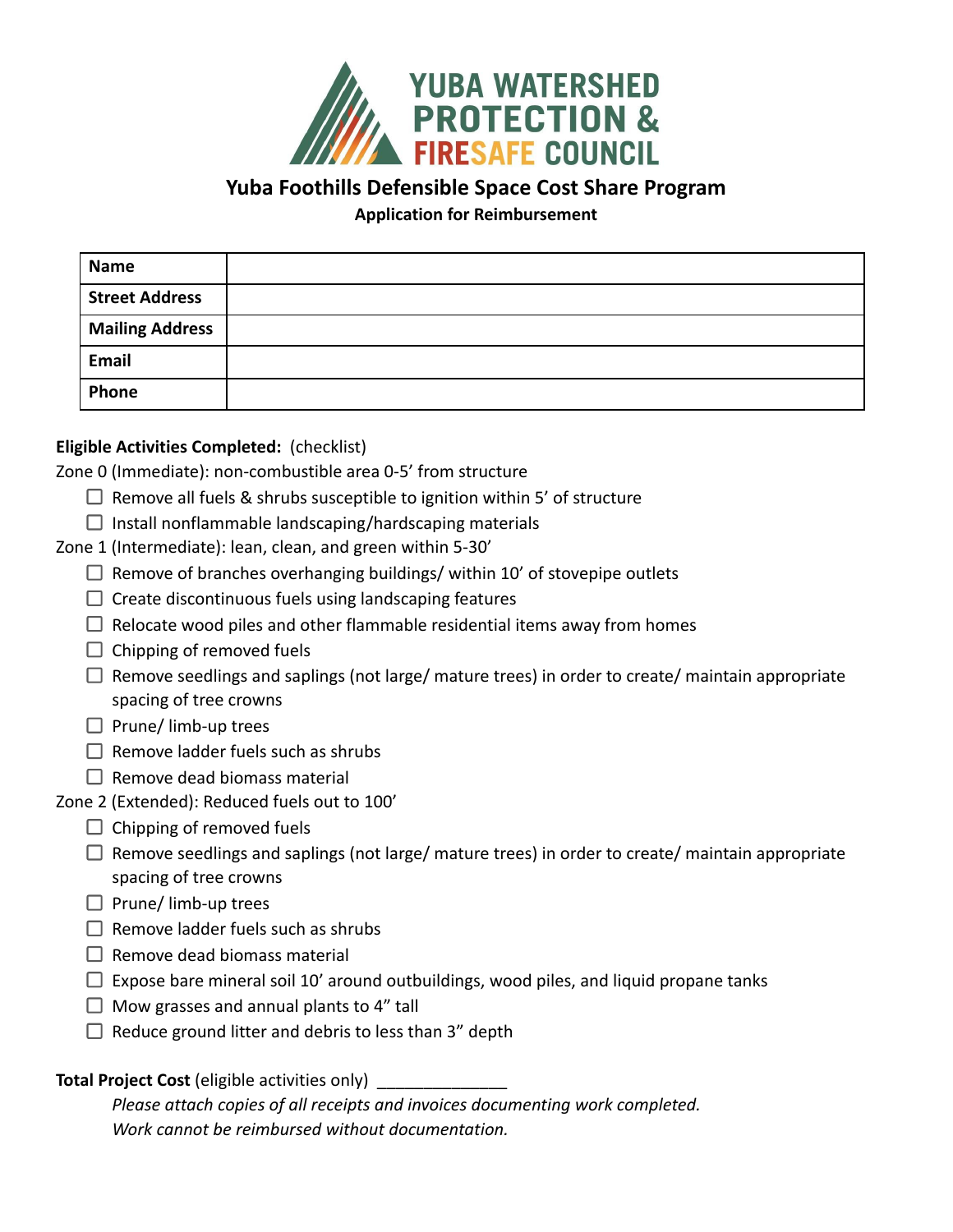

**Yuba Foothills Defensible Space Cost Share Program**

**Application for Reimbursement**

| <b>Name</b>            |  |
|------------------------|--|
| <b>Street Address</b>  |  |
| <b>Mailing Address</b> |  |
| <b>Email</b>           |  |
| Phone                  |  |

## **Eligible Activities Completed:** (checklist)

Zone 0 (Immediate): non-combustible area 0-5' from structure

- $\Box$  Remove all fuels & shrubs susceptible to ignition within 5' of structure
- $\Box$  Install nonflammable landscaping/hardscaping materials
- Zone 1 (Intermediate): lean, clean, and green within 5-30'
	- $\Box$  Remove of branches overhanging buildings/ within 10' of stovepipe outlets
	- $\Box$  Create discontinuous fuels using landscaping features
	- $\Box$  Relocate wood piles and other flammable residential items away from homes
	- $\Box$  Chipping of removed fuels
	- $\Box$  Remove seedlings and saplings (not large/ mature trees) in order to create/ maintain appropriate spacing of tree crowns
	- $\Box$  Prune/ limb-up trees
	- $\Box$  Remove ladder fuels such as shrubs
	- $\Box$  Remove dead biomass material
- Zone 2 (Extended): Reduced fuels out to 100'
	- $\Box$  Chipping of removed fuels
	- $\Box$  Remove seedlings and saplings (not large/ mature trees) in order to create/ maintain appropriate spacing of tree crowns
	- $\Box$  Prune/ limb-up trees
	- $\Box$  Remove ladder fuels such as shrubs
	- $\Box$  Remove dead biomass material
	- $\Box$  Expose bare mineral soil 10' around outbuildings, wood piles, and liquid propane tanks
	- $\Box$  Mow grasses and annual plants to 4" tall
	- $\Box$  Reduce ground litter and debris to less than 3" depth

## **Total Project Cost** (eligible activities only)

*Please attach copies of all receipts and invoices documenting work completed. Work cannot be reimbursed without documentation.*